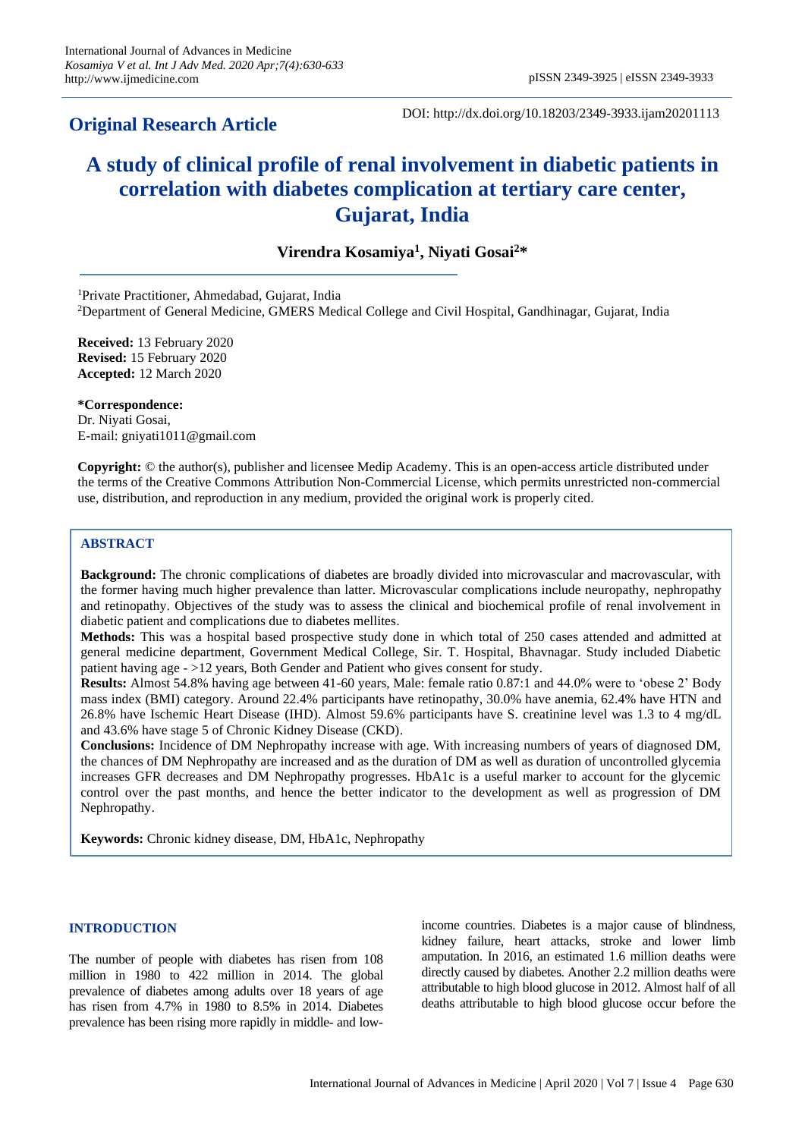## **Original Research Article**

DOI: http://dx.doi.org/10.18203/2349-3933.ijam20201113

# **A study of clinical profile of renal involvement in diabetic patients in correlation with diabetes complication at tertiary care center, Gujarat, India**

**Virendra Kosamiya<sup>1</sup> , Niyati Gosai<sup>2</sup>\***

<sup>1</sup>Private Practitioner, Ahmedabad, Gujarat, India <sup>2</sup>Department of General Medicine, GMERS Medical College and Civil Hospital, Gandhinagar, Gujarat, India

**Received:** 13 February 2020 **Revised:** 15 February 2020 **Accepted:** 12 March 2020

**\*Correspondence:** Dr. Niyati Gosai, E-mail: gniyati1011@gmail.com

**Copyright:** © the author(s), publisher and licensee Medip Academy. This is an open-access article distributed under the terms of the Creative Commons Attribution Non-Commercial License, which permits unrestricted non-commercial use, distribution, and reproduction in any medium, provided the original work is properly cited.

## **ABSTRACT**

**Background:** The chronic complications of diabetes are broadly divided into microvascular and macrovascular, with the former having much higher prevalence than latter. Microvascular complications include neuropathy, nephropathy and retinopathy. Objectives of the study was to assess the clinical and biochemical profile of renal involvement in diabetic patient and complications due to diabetes mellites.

**Methods:** This was a hospital based prospective study done in which total of 250 cases attended and admitted at general medicine department, Government Medical College, Sir. T. Hospital, Bhavnagar. Study included Diabetic patient having age - >12 years, Both Gender and Patient who gives consent for study.

**Results:** Almost 54.8% having age between 41-60 years, Male: female ratio 0.87:1 and 44.0% were to 'obese 2' Body mass index (BMI) category. Around 22.4% participants have retinopathy, 30.0% have anemia, 62.4% have HTN and 26.8% have Ischemic Heart Disease (IHD). Almost 59.6% participants have S. creatinine level was 1.3 to 4 mg/dL and 43.6% have stage 5 of Chronic Kidney Disease (CKD).

**Conclusions:** Incidence of DM Nephropathy increase with age. With increasing numbers of years of diagnosed DM, the chances of DM Nephropathy are increased and as the duration of DM as well as duration of uncontrolled glycemia increases GFR decreases and DM Nephropathy progresses. HbA1c is a useful marker to account for the glycemic control over the past months, and hence the better indicator to the development as well as progression of DM Nephropathy.

**Keywords:** Chronic kidney disease, DM, HbA1c, Nephropathy

### **INTRODUCTION**

The number of people with diabetes has risen from 108 million in 1980 to 422 million in 2014. The global prevalence of diabetes among adults over 18 years of age has risen from 4.7% in 1980 to 8.5% in 2014. Diabetes prevalence has been rising more rapidly in middle- and lowincome countries. Diabetes is a major cause of blindness, kidney failure, heart attacks, stroke and lower limb amputation. In 2016, an estimated 1.6 million deaths were directly caused by diabetes. Another 2.2 million deaths were attributable to high blood glucose in 2012. Almost half of all deaths attributable to high blood glucose occur before the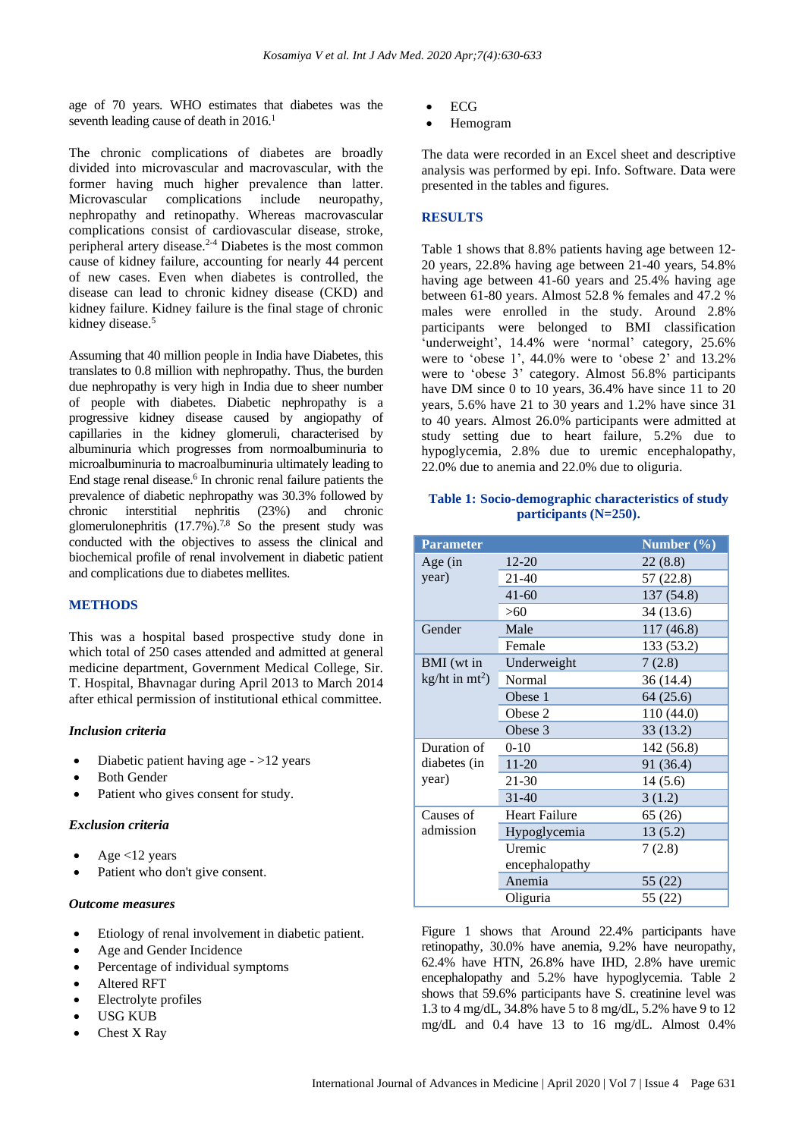age of 70 years. WHO estimates that diabetes was the seventh leading cause of death in  $2016$ <sup>1</sup>

The chronic complications of diabetes are broadly divided into microvascular and macrovascular, with the former having much higher prevalence than latter. Microvascular complications include neuropathy, nephropathy and retinopathy. Whereas macrovascular complications consist of cardiovascular disease, stroke, peripheral artery disease. 2-4 Diabetes is the most common cause of kidney failure, accounting for nearly 44 percent of new cases. Even when diabetes is controlled, the disease can lead to chronic kidney disease (CKD) and kidney failure. Kidney failure is the final stage of chronic kidney disease.<sup>5</sup>

Assuming that 40 million people in India have Diabetes, this translates to 0.8 million with nephropathy. Thus, the burden due nephropathy is very high in India due to sheer number of people with diabetes. Diabetic nephropathy is a progressive kidney disease caused by angiopathy of capillaries in the kidney glomeruli, characterised by albuminuria which progresses from normoalbuminuria to microalbuminuria to macroalbuminuria ultimately leading to End stage renal disease. 6 In chronic renal failure patients the prevalence of diabetic nephropathy was 30.3% followed by chronic interstitial nephritis (23%) and chronic glomerulonephritis (17.7%).<sup>7,8</sup> So the present study was conducted with the objectives to assess the clinical and biochemical profile of renal involvement in diabetic patient and complications due to diabetes mellites.

#### **METHODS**

This was a hospital based prospective study done in which total of 250 cases attended and admitted at general medicine department, Government Medical College, Sir. T. Hospital, Bhavnagar during April 2013 to March 2014 after ethical permission of institutional ethical committee.

#### *Inclusion criteria*

- Diabetic patient having age >12 years
- **Both Gender**
- Patient who gives consent for study.

#### *Exclusion criteria*

- Age  $<$ 12 years
- Patient who don't give consent.

### *Outcome measures*

- Etiology of renal involvement in diabetic patient.
- Age and Gender Incidence
- Percentage of individual symptoms
- Altered RFT
- Electrolyte profiles
- USG KUB
- Chest X Ray
- ECG
- Hemogram

The data were recorded in an Excel sheet and descriptive analysis was performed by epi. Info. Software. Data were presented in the tables and figures.

## **RESULTS**

Table 1 shows that 8.8% patients having age between 12- 20 years, 22.8% having age between 21-40 years, 54.8% having age between 41-60 years and 25.4% having age between 61-80 years. Almost 52.8 % females and 47.2 % males were enrolled in the study. Around 2.8% participants were belonged to BMI classification 'underweight', 14.4% were 'normal' category, 25.6% were to 'obese 1', 44.0% were to 'obese 2' and 13.2% were to 'obese 3' category. Almost 56.8% participants have DM since 0 to 10 years, 36.4% have since 11 to 20 years, 5.6% have 21 to 30 years and 1.2% have since 31 to 40 years. Almost 26.0% participants were admitted at study setting due to heart failure, 5.2% due to hypoglycemia, 2.8% due to uremic encephalopathy, 22.0% due to anemia and 22.0% due to oliguria.

#### **Table 1: Socio-demographic characteristics of study participants (N=250).**

| <b>Parameter</b>  |                      | Number $(\% )$ |
|-------------------|----------------------|----------------|
| Age (in           | $12 - 20$            | 22 (8.8)       |
| year)             | 21-40                | 57 (22.8)      |
|                   | $41 - 60$            | 137 (54.8)     |
|                   | >60                  | 34 (13.6)      |
| Gender            | Male                 | 117(46.8)      |
|                   | Female               | 133 (53.2)     |
| BMI (wt in        | Underweight          | 7(2.8)         |
| kg/ht in $mt^2$ ) | Normal               | 36 (14.4)      |
|                   | Obese 1              | 64(25.6)       |
|                   | Obese 2              | 110 (44.0)     |
|                   | Obese 3              | 33(13.2)       |
| Duration of       | $0 - 10$             | 142 (56.8)     |
| diabetes (in      | $11 - 20$            | 91 (36.4)      |
| year)             | 21-30                | 14(5.6)        |
|                   | $31 - 40$            | 3(1.2)         |
| Causes of         | <b>Heart Failure</b> | 65 (26)        |
| admission         | Hypoglycemia         | 13(5.2)        |
|                   | Uremic               | 7(2.8)         |
|                   | encephalopathy       |                |
|                   | Anemia               | 55 (22)        |
|                   | Oliguria             | 55 (22)        |

Figure 1 shows that Around 22.4% participants have retinopathy, 30.0% have anemia, 9.2% have neuropathy, 62.4% have HTN, 26.8% have IHD, 2.8% have uremic encephalopathy and 5.2% have hypoglycemia. Table 2 shows that 59.6% participants have S. creatinine level was 1.3 to 4 mg/dL, 34.8% have 5 to 8 mg/dL, 5.2% have 9 to 12 mg/dL and 0.4 have 13 to 16 mg/dL. Almost 0.4%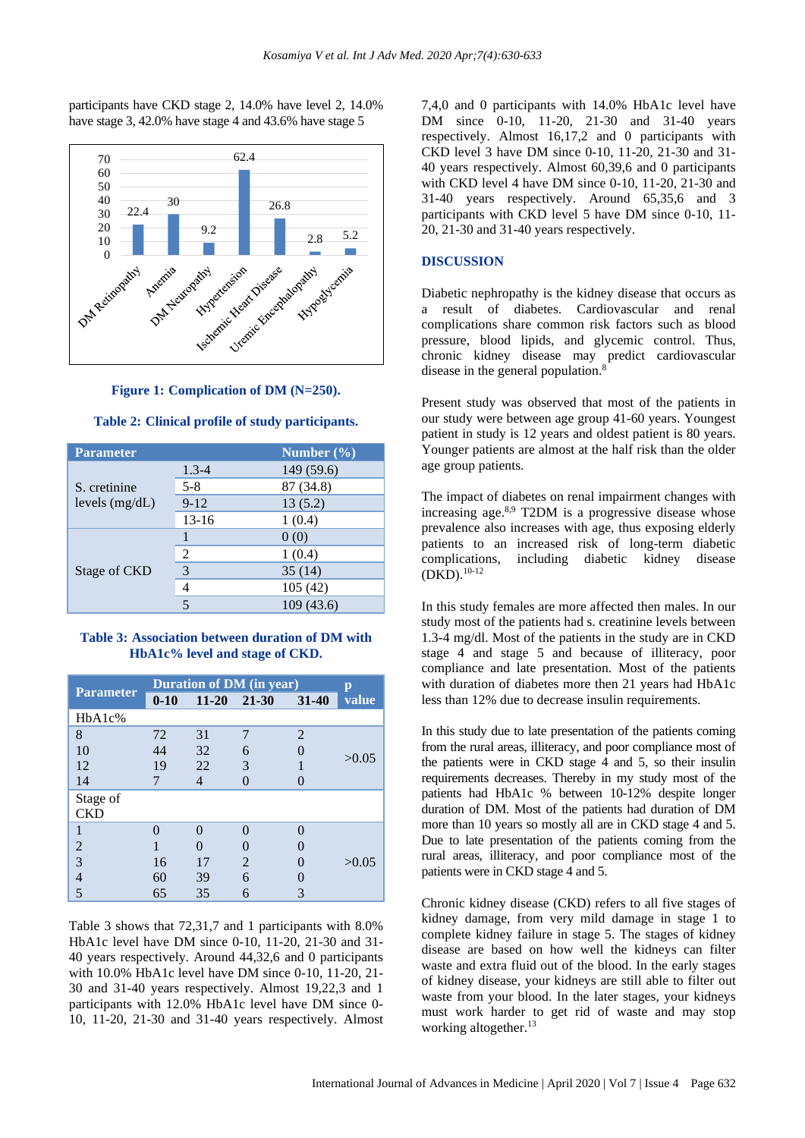participants have CKD stage 2, 14.0% have level 2, 14.0% have stage 3, 42.0% have stage 4 and 43.6% have stage 5



**Figure 1: Complication of DM (N=250).**

| <b>Parameter</b>                 |           | Number $(\% )$ |  |
|----------------------------------|-----------|----------------|--|
| S. cretinine<br>levels $(mg/dL)$ | $1.3 - 4$ | 149 (59.6)     |  |
|                                  | $5 - 8$   | 87 (34.8)      |  |
|                                  | $9-12$    | 13(5.2)        |  |
|                                  | $13 - 16$ | 1(0.4)         |  |
|                                  |           | 0(0)           |  |
|                                  | 2         | 1(0.4)         |  |
| Stage of CKD                     |           | 35(14)         |  |
|                                  | 4         | 105(42)        |  |
|                                  |           | 109 (43.6)     |  |

#### **Table 2: Clinical profile of study participants.**

#### **Table 3: Association between duration of DM with HbA1c% level and stage of CKD.**

|                  | <b>Duration of DM</b> (in year) |           |                             | p         |       |
|------------------|---------------------------------|-----------|-----------------------------|-----------|-------|
| <b>Parameter</b> | $0 - 10$                        | $11 - 20$ | 21-30                       | $31 - 40$ | value |
| HbA1c%           |                                 |           |                             |           |       |
| 8                | 72                              | 31        |                             | 2         | >0.05 |
| 10               | 44                              | 32        | 6                           |           |       |
| 12               | 19                              | 22        | 3                           |           |       |
| 14               |                                 | 4         |                             |           |       |
| Stage of         |                                 |           |                             |           |       |
| <b>CKD</b>       |                                 |           |                             |           |       |
|                  |                                 |           |                             |           |       |
| 2                |                                 |           |                             |           |       |
| 3                | 16                              | 17        | $\mathcal{D}_{\mathcal{L}}$ |           | >0.05 |
| 4                | 60                              | 39        | 6                           |           |       |
|                  | 65                              | 35        | 6                           |           |       |

Table 3 shows that 72,31,7 and 1 participants with 8.0% HbA1c level have DM since 0-10, 11-20, 21-30 and 31- 40 years respectively. Around 44,32,6 and 0 participants with 10.0% HbA1c level have DM since 0-10, 11-20, 21- 30 and 31-40 years respectively. Almost 19,22,3 and 1 participants with 12.0% HbA1c level have DM since 0- 10, 11-20, 21-30 and 31-40 years respectively. Almost 7,4,0 and 0 participants with 14.0% HbA1c level have DM since 0-10, 11-20, 21-30 and 31-40 years respectively. Almost 16,17,2 and 0 participants with CKD level 3 have DM since 0-10, 11-20, 21-30 and 31- 40 years respectively. Almost 60,39,6 and 0 participants with CKD level 4 have DM since 0-10, 11-20, 21-30 and 31-40 years respectively. Around 65,35,6 and 3 participants with CKD level 5 have DM since 0-10, 11- 20, 21-30 and 31-40 years respectively.

### **DISCUSSION**

Diabetic nephropathy is the kidney disease that occurs as a result of diabetes. Cardiovascular and renal complications share common risk factors such as blood pressure, blood lipids, and glycemic control. Thus, chronic kidney disease may predict cardiovascular disease in the general population.<sup>8</sup>

Present study was observed that most of the patients in our study were between age group 41-60 years. Youngest patient in study is 12 years and oldest patient is 80 years. Younger patients are almost at the half risk than the older age group patients.

The impact of diabetes on renal impairment changes with increasing age.<sup>8,9</sup> T2DM is a progressive disease whose prevalence also increases with age, thus exposing elderly patients to an increased risk of long-term diabetic complications, including diabetic kidney disease  $(DKD).^{10-12}$ 

In this study females are more affected then males. In our study most of the patients had s. creatinine levels between 1.3-4 mg/dl. Most of the patients in the study are in CKD stage 4 and stage 5 and because of illiteracy, poor compliance and late presentation. Most of the patients with duration of diabetes more then 21 years had HbA1c less than 12% due to decrease insulin requirements.

In this study due to late presentation of the patients coming from the rural areas, illiteracy, and poor compliance most of the patients were in CKD stage 4 and 5, so their insulin requirements decreases. Thereby in my study most of the patients had HbA1c % between 10-12% despite longer duration of DM. Most of the patients had duration of DM more than 10 years so mostly all are in CKD stage 4 and 5. Due to late presentation of the patients coming from the rural areas, illiteracy, and poor compliance most of the patients were in CKD stage 4 and 5.

Chronic kidney disease (CKD) refers to all five stages of kidney damage, from very mild damage in stage 1 to complete kidney failure in stage 5. The stages of kidney disease are based on how well the kidneys can filter waste and extra fluid out of the blood. In the early stages of kidney disease, your kidneys are still able to filter out waste from your blood. In the later stages, your kidneys must work harder to get rid of waste and may stop working altogether.<sup>13</sup>